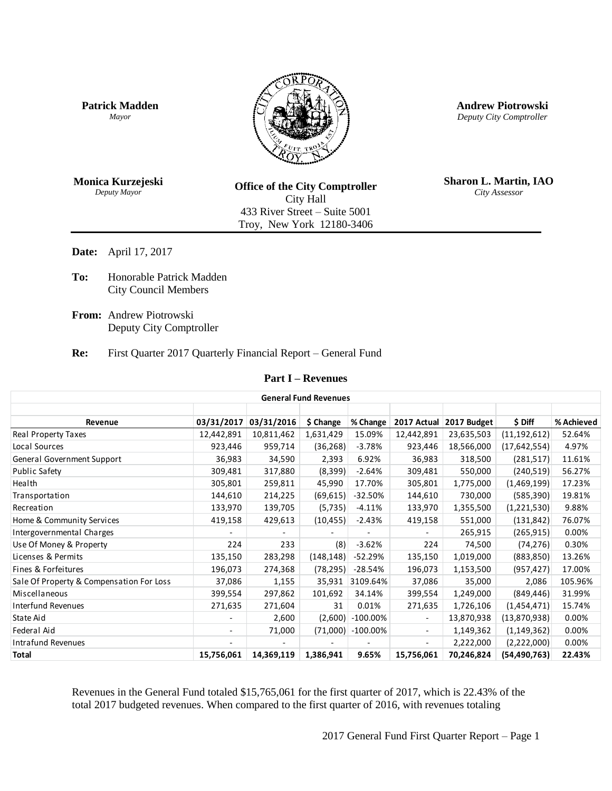**Patrick Madden** *Mayor*



**Andrew Piotrowski** *Deputy City Comptroller*

**Monica Kurzejeski** *Deputy Mayor*

**Office of the City Comptroller** City Hall 433 River Street – Suite 5001 Troy, New York 12180-3406

**Sharon L. Martin, IAO** *City Assessor*

**Date:** April 17, 2017

**To:** Honorable Patrick Madden City Council Members

**From:** Andrew Piotrowski Deputy City Comptroller

**Re:** First Quarter 2017 Quarterly Financial Report – General Fund

## **Part I – Revenues**

| <b>General Fund Revenues</b>             |                          |            |            |             |                          |             |                |            |  |
|------------------------------------------|--------------------------|------------|------------|-------------|--------------------------|-------------|----------------|------------|--|
|                                          |                          |            |            |             |                          |             |                |            |  |
| Revenue                                  | 03/31/2017               | 03/31/2016 | \$ Change  | % Change    | 2017 Actual              | 2017 Budget | \$ Diff        | % Achieved |  |
| <b>Real Property Taxes</b>               | 12,442,891               | 10,811,462 | 1,631,429  | 15.09%      | 12,442,891               | 23,635,503  | (11, 192, 612) | 52.64%     |  |
| Local Sources                            | 923,446                  | 959,714    | (36, 268)  | $-3.78%$    | 923,446                  | 18,566,000  | (17, 642, 554) | 4.97%      |  |
| General Government Support               | 36,983                   | 34,590     | 2,393      | 6.92%       | 36,983                   | 318,500     | (281, 517)     | 11.61%     |  |
| Public Safety                            | 309,481                  | 317,880    | (8,399)    | $-2.64%$    | 309,481                  | 550,000     | (240, 519)     | 56.27%     |  |
| Health                                   | 305,801                  | 259,811    | 45,990     | 17.70%      | 305,801                  | 1,775,000   | (1,469,199)    | 17.23%     |  |
| Transportation                           | 144,610                  | 214,225    | (69, 615)  | $-32.50%$   | 144,610                  | 730,000     | (585, 390)     | 19.81%     |  |
| Recreation                               | 133,970                  | 139,705    | (5, 735)   | $-4.11%$    | 133,970                  | 1,355,500   | (1,221,530)    | 9.88%      |  |
| Home & Community Services                | 419,158                  | 429,613    | (10, 455)  | $-2.43%$    | 419,158                  | 551,000     | (131, 842)     | 76.07%     |  |
| Intergovernmental Charges                |                          |            |            |             |                          | 265,915     | (265, 915)     | 0.00%      |  |
| Use Of Money & Property                  | 224                      | 233        | (8)        | $-3.62%$    | 224                      | 74,500      | (74, 276)      | 0.30%      |  |
| Licenses & Permits                       | 135,150                  | 283,298    | (148, 148) | $-52.29%$   | 135,150                  | 1,019,000   | (883, 850)     | 13.26%     |  |
| Fines & Forfeitures                      | 196,073                  | 274,368    | (78, 295)  | $-28.54%$   | 196,073                  | 1,153,500   | (957, 427)     | 17.00%     |  |
| Sale Of Property & Compensation For Loss | 37,086                   | 1,155      | 35,931     | 3109.64%    | 37,086                   | 35,000      | 2,086          | 105.96%    |  |
| Miscellaneous                            | 399,554                  | 297,862    | 101,692    | 34.14%      | 399,554                  | 1,249,000   | (849, 446)     | 31.99%     |  |
| <b>Interfund Revenues</b>                | 271,635                  | 271,604    | 31         | 0.01%       | 271,635                  | 1,726,106   | (1,454,471)    | 15.74%     |  |
| State Aid                                |                          | 2,600      | (2,600)    | $-100.00\%$ |                          | 13,870,938  | (13,870,938)   | 0.00%      |  |
| Federal Aid                              | $\overline{\phantom{0}}$ | 71,000     | (71,000)   | $-100.00\%$ | $\overline{\phantom{a}}$ | 1,149,362   | (1, 149, 362)  | 0.00%      |  |
| <b>Intrafund Revenues</b>                |                          |            |            |             |                          | 2,222,000   | (2,222,000)    | 0.00%      |  |
| <b>Total</b>                             | 15,756,061               | 14,369,119 | 1,386,941  | 9.65%       | 15,756,061               | 70,246,824  | (54, 490, 763) | 22.43%     |  |

Revenues in the General Fund totaled \$15,765,061 for the first quarter of 2017, which is 22.43% of the total 2017 budgeted revenues. When compared to the first quarter of 2016, with revenues totaling

2017 General Fund First Quarter Report – Page 1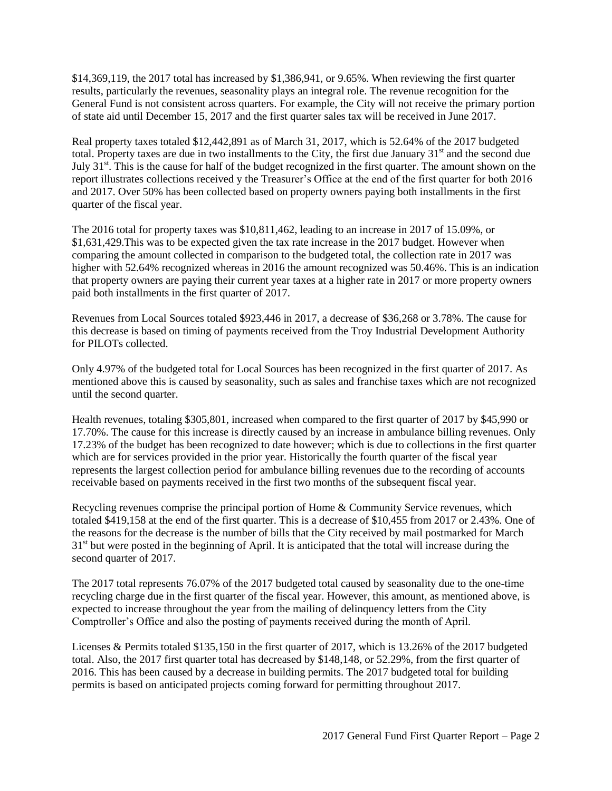\$14,369,119, the 2017 total has increased by \$1,386,941, or 9.65%. When reviewing the first quarter results, particularly the revenues, seasonality plays an integral role. The revenue recognition for the General Fund is not consistent across quarters. For example, the City will not receive the primary portion of state aid until December 15, 2017 and the first quarter sales tax will be received in June 2017.

Real property taxes totaled \$12,442,891 as of March 31, 2017, which is 52.64% of the 2017 budgeted total. Property taxes are due in two installments to the City, the first due January  $31<sup>st</sup>$  and the second due July  $31<sup>st</sup>$ . This is the cause for half of the budget recognized in the first quarter. The amount shown on the report illustrates collections received y the Treasurer's Office at the end of the first quarter for both 2016 and 2017. Over 50% has been collected based on property owners paying both installments in the first quarter of the fiscal year.

The 2016 total for property taxes was \$10,811,462, leading to an increase in 2017 of 15.09%, or \$1,631,429.This was to be expected given the tax rate increase in the 2017 budget. However when comparing the amount collected in comparison to the budgeted total, the collection rate in 2017 was higher with 52.64% recognized whereas in 2016 the amount recognized was 50.46%. This is an indication that property owners are paying their current year taxes at a higher rate in 2017 or more property owners paid both installments in the first quarter of 2017.

Revenues from Local Sources totaled \$923,446 in 2017, a decrease of \$36,268 or 3.78%. The cause for this decrease is based on timing of payments received from the Troy Industrial Development Authority for PILOTs collected.

Only 4.97% of the budgeted total for Local Sources has been recognized in the first quarter of 2017. As mentioned above this is caused by seasonality, such as sales and franchise taxes which are not recognized until the second quarter.

Health revenues, totaling \$305,801, increased when compared to the first quarter of 2017 by \$45,990 or 17.70%. The cause for this increase is directly caused by an increase in ambulance billing revenues. Only 17.23% of the budget has been recognized to date however; which is due to collections in the first quarter which are for services provided in the prior year. Historically the fourth quarter of the fiscal year represents the largest collection period for ambulance billing revenues due to the recording of accounts receivable based on payments received in the first two months of the subsequent fiscal year.

Recycling revenues comprise the principal portion of Home & Community Service revenues, which totaled \$419,158 at the end of the first quarter. This is a decrease of \$10,455 from 2017 or 2.43%. One of the reasons for the decrease is the number of bills that the City received by mail postmarked for March  $31<sup>st</sup>$  but were posted in the beginning of April. It is anticipated that the total will increase during the second quarter of 2017.

The 2017 total represents 76.07% of the 2017 budgeted total caused by seasonality due to the one-time recycling charge due in the first quarter of the fiscal year. However, this amount, as mentioned above, is expected to increase throughout the year from the mailing of delinquency letters from the City Comptroller's Office and also the posting of payments received during the month of April.

Licenses & Permits totaled \$135,150 in the first quarter of 2017, which is 13.26% of the 2017 budgeted total. Also, the 2017 first quarter total has decreased by \$148,148, or 52.29%, from the first quarter of 2016. This has been caused by a decrease in building permits. The 2017 budgeted total for building permits is based on anticipated projects coming forward for permitting throughout 2017.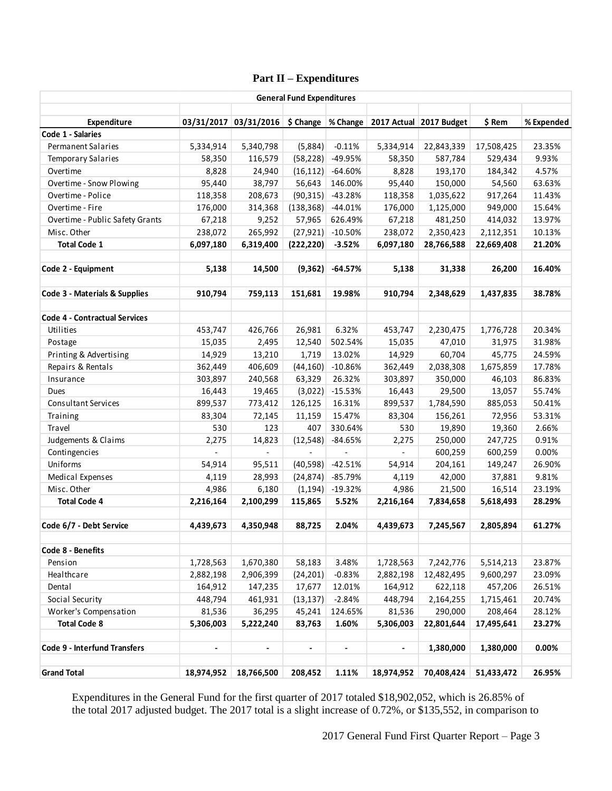# **Part II – Expenditures**

| <b>General Fund Expenditures</b>     |            |                       |                |                |                          |                                      |            |            |
|--------------------------------------|------------|-----------------------|----------------|----------------|--------------------------|--------------------------------------|------------|------------|
| Expenditure                          |            | 03/31/2017 03/31/2016 | \$ Change      |                |                          | % Change   2017 Actual   2017 Budget | \$ Rem     | % Expended |
| Code 1 - Salaries                    |            |                       |                |                |                          |                                      |            |            |
| Permanent Salaries                   | 5,334,914  | 5,340,798             | (5,884)        | $-0.11%$       | 5,334,914                | 22,843,339                           | 17,508,425 | 23.35%     |
| <b>Temporary Salaries</b>            | 58,350     | 116,579               | (58, 228)      | -49.95%        | 58,350                   | 587,784                              | 529,434    | 9.93%      |
| Overtime                             | 8,828      | 24,940                | (16, 112)      | $-64.60%$      | 8,828                    | 193,170                              | 184,342    | 4.57%      |
| Overtime - Snow Plowing              | 95,440     | 38,797                | 56,643         | 146.00%        | 95,440                   | 150,000                              | 54,560     | 63.63%     |
| Overtime - Police                    | 118,358    | 208,673               | (90, 315)      | $-43.28%$      | 118,358                  | 1,035,622                            | 917,264    | 11.43%     |
| Overtime - Fire                      | 176,000    | 314,368               | (138, 368)     | $-44.01%$      | 176,000                  | 1,125,000                            | 949,000    | 15.64%     |
| Overtime - Public Safety Grants      | 67,218     | 9,252                 | 57,965         | 626.49%        | 67,218                   | 481,250                              | 414,032    | 13.97%     |
| Misc. Other                          | 238,072    | 265,992               | (27, 921)      | $-10.50%$      | 238,072                  | 2,350,423                            | 2,112,351  | 10.13%     |
| <b>Total Code 1</b>                  | 6,097,180  | 6,319,400             | (222, 220)     | $-3.52%$       | 6,097,180                | 28,766,588                           | 22,669,408 | 21.20%     |
| Code 2 - Equipment                   | 5,138      | 14,500                | (9, 362)       | $-64.57%$      | 5,138                    | 31,338                               | 26,200     | 16.40%     |
| Code 3 - Materials & Supplies        | 910,794    | 759,113               | 151,681        | 19.98%         | 910,794                  | 2,348,629                            | 1,437,835  | 38.78%     |
| <b>Code 4 - Contractual Services</b> |            |                       |                |                |                          |                                      |            |            |
| Utilities                            | 453,747    | 426,766               | 26,981         | 6.32%          | 453,747                  | 2,230,475                            | 1,776,728  | 20.34%     |
| Postage                              | 15,035     | 2,495                 | 12,540         | 502.54%        | 15,035                   | 47,010                               | 31,975     | 31.98%     |
| Printing & Advertising               | 14,929     | 13,210                | 1,719          | 13.02%         | 14,929                   | 60,704                               | 45,775     | 24.59%     |
| Repairs & Rentals                    | 362,449    | 406,609               | (44, 160)      | $-10.86%$      | 362,449                  | 2,038,308                            | 1,675,859  | 17.78%     |
| Insurance                            | 303,897    | 240,568               | 63,329         | 26.32%         | 303,897                  | 350,000                              | 46,103     | 86.83%     |
| Dues                                 | 16,443     | 19,465                | (3,022)        | $-15.53%$      | 16,443                   | 29,500                               | 13,057     | 55.74%     |
| <b>Consultant Services</b>           | 899,537    | 773,412               | 126,125        | 16.31%         | 899,537                  | 1,784,590                            | 885,053    | 50.41%     |
| Training                             | 83,304     | 72,145                | 11,159         | 15.47%         | 83,304                   | 156,261                              | 72,956     | 53.31%     |
| Travel                               | 530        | 123                   | 407            | 330.64%        | 530                      | 19,890                               | 19,360     | 2.66%      |
| Judgements & Claims                  | 2,275      | 14,823                | (12, 548)      | $-84.65%$      | 2,275                    | 250,000                              | 247,725    | 0.91%      |
| Contingencies                        |            | $\blacksquare$        | $\blacksquare$ | $\overline{a}$ | $\overline{\phantom{a}}$ | 600,259                              | 600,259    | 0.00%      |
| Uniforms                             | 54,914     | 95,511                | (40, 598)      | $-42.51%$      | 54,914                   | 204,161                              | 149,247    | 26.90%     |
| Medical Expenses                     | 4,119      | 28,993                | (24, 874)      | -85.79%        | 4,119                    | 42,000                               | 37,881     | 9.81%      |
| Misc. Other                          | 4,986      | 6,180                 | (1, 194)       | $-19.32%$      | 4,986                    | 21,500                               | 16,514     | 23.19%     |
| <b>Total Code 4</b>                  | 2,216,164  | 2,100,299             | 115,865        | 5.52%          | 2,216,164                | 7,834,658                            | 5,618,493  | 28.29%     |
| Code 6/7 - Debt Service              | 4,439,673  | 4,350,948             | 88,725         | 2.04%          | 4,439,673                | 7,245,567                            | 2,805,894  | 61.27%     |
| Code 8 - Benefits                    |            |                       |                |                |                          |                                      |            |            |
| Pension                              | 1,728,563  | 1,670,380             | 58,183         | 3.48%          | 1,728,563                | 7,242,776                            | 5,514,213  | 23.87%     |
| Healthcare                           | 2,882,198  | 2,906,399             | (24, 201)      | $-0.83%$       | 2,882,198                | 12,482,495                           | 9,600,297  | 23.09%     |
| Dental                               | 164,912    | 147,235               | 17,677         | 12.01%         | 164,912                  | 622,118                              | 457,206    | 26.51%     |
| Social Security                      | 448,794    | 461,931               | (13, 137)      | $-2.84%$       | 448,794                  | 2,164,255                            | 1,715,461  | 20.74%     |
| Worker's Compensation                | 81,536     | 36,295                | 45,241         | 124.65%        | 81,536                   | 290,000                              | 208,464    | 28.12%     |
| <b>Total Code 8</b>                  | 5,306,003  | 5,222,240             | 83,763         | 1.60%          | 5,306,003                | 22,801,644                           | 17,495,641 | 23.27%     |
| <b>Code 9 - Interfund Transfers</b>  |            | -                     | -              | $\blacksquare$ | $\blacksquare$           | 1,380,000                            | 1,380,000  | 0.00%      |
| <b>Grand Total</b>                   | 18,974,952 | 18,766,500            | 208,452        | 1.11%          | 18,974,952               | 70,408,424                           | 51,433,472 | 26.95%     |

Expenditures in the General Fund for the first quarter of 2017 totaled \$18,902,052, which is 26.85% of the total 2017 adjusted budget. The 2017 total is a slight increase of 0.72%, or \$135,552, in comparison to

2017 General Fund First Quarter Report – Page 3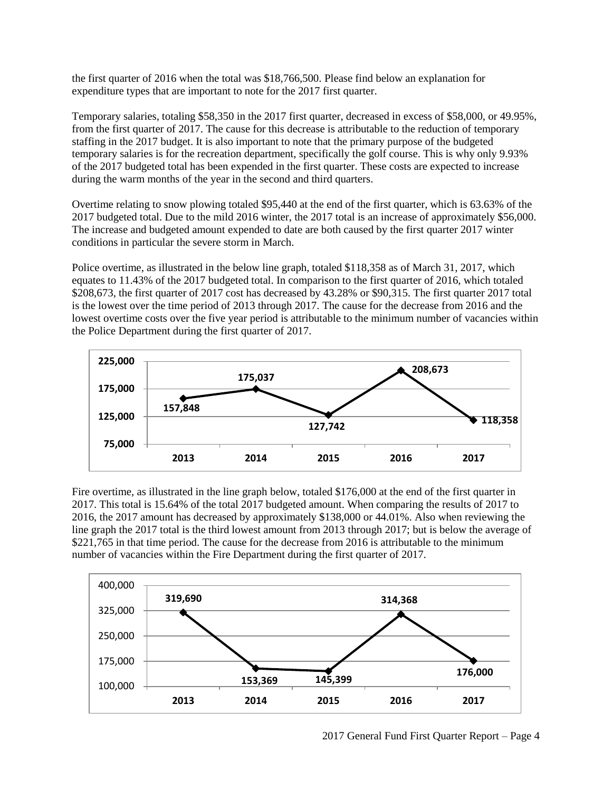the first quarter of 2016 when the total was \$18,766,500. Please find below an explanation for expenditure types that are important to note for the 2017 first quarter.

Temporary salaries, totaling \$58,350 in the 2017 first quarter, decreased in excess of \$58,000, or 49.95%, from the first quarter of 2017. The cause for this decrease is attributable to the reduction of temporary staffing in the 2017 budget. It is also important to note that the primary purpose of the budgeted temporary salaries is for the recreation department, specifically the golf course. This is why only 9.93% of the 2017 budgeted total has been expended in the first quarter. These costs are expected to increase during the warm months of the year in the second and third quarters.

Overtime relating to snow plowing totaled \$95,440 at the end of the first quarter, which is 63.63% of the 2017 budgeted total. Due to the mild 2016 winter, the 2017 total is an increase of approximately \$56,000. The increase and budgeted amount expended to date are both caused by the first quarter 2017 winter conditions in particular the severe storm in March.

Police overtime, as illustrated in the below line graph, totaled \$118,358 as of March 31, 2017, which equates to 11.43% of the 2017 budgeted total. In comparison to the first quarter of 2016, which totaled \$208,673, the first quarter of 2017 cost has decreased by 43.28% or \$90,315. The first quarter 2017 total is the lowest over the time period of 2013 through 2017. The cause for the decrease from 2016 and the lowest overtime costs over the five year period is attributable to the minimum number of vacancies within the Police Department during the first quarter of 2017.



Fire overtime, as illustrated in the line graph below, totaled \$176,000 at the end of the first quarter in 2017. This total is 15.64% of the total 2017 budgeted amount. When comparing the results of 2017 to 2016, the 2017 amount has decreased by approximately \$138,000 or 44.01%. Also when reviewing the line graph the 2017 total is the third lowest amount from 2013 through 2017; but is below the average of \$221,765 in that time period. The cause for the decrease from 2016 is attributable to the minimum number of vacancies within the Fire Department during the first quarter of 2017.



2017 General Fund First Quarter Report – Page 4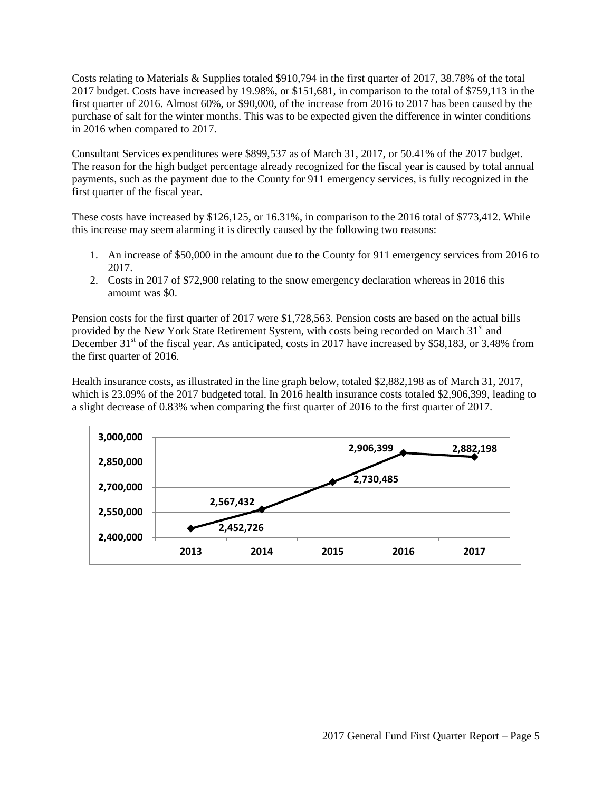Costs relating to Materials & Supplies totaled \$910,794 in the first quarter of 2017, 38.78% of the total 2017 budget. Costs have increased by 19.98%, or \$151,681, in comparison to the total of \$759,113 in the first quarter of 2016. Almost 60%, or \$90,000, of the increase from 2016 to 2017 has been caused by the purchase of salt for the winter months. This was to be expected given the difference in winter conditions in 2016 when compared to 2017.

Consultant Services expenditures were \$899,537 as of March 31, 2017, or 50.41% of the 2017 budget. The reason for the high budget percentage already recognized for the fiscal year is caused by total annual payments, such as the payment due to the County for 911 emergency services, is fully recognized in the first quarter of the fiscal year.

These costs have increased by \$126,125, or 16.31%, in comparison to the 2016 total of \$773,412. While this increase may seem alarming it is directly caused by the following two reasons:

- 1. An increase of \$50,000 in the amount due to the County for 911 emergency services from 2016 to 2017.
- 2. Costs in 2017 of \$72,900 relating to the snow emergency declaration whereas in 2016 this amount was \$0.

Pension costs for the first quarter of 2017 were \$1,728,563. Pension costs are based on the actual bills provided by the New York State Retirement System, with costs being recorded on March  $31<sup>st</sup>$  and December  $31<sup>st</sup>$  of the fiscal year. As anticipated, costs in 2017 have increased by \$58,183, or 3.48% from the first quarter of 2016.

Health insurance costs, as illustrated in the line graph below, totaled \$2,882,198 as of March 31, 2017, which is 23.09% of the 2017 budgeted total. In 2016 health insurance costs totaled \$2,906,399, leading to a slight decrease of 0.83% when comparing the first quarter of 2016 to the first quarter of 2017.

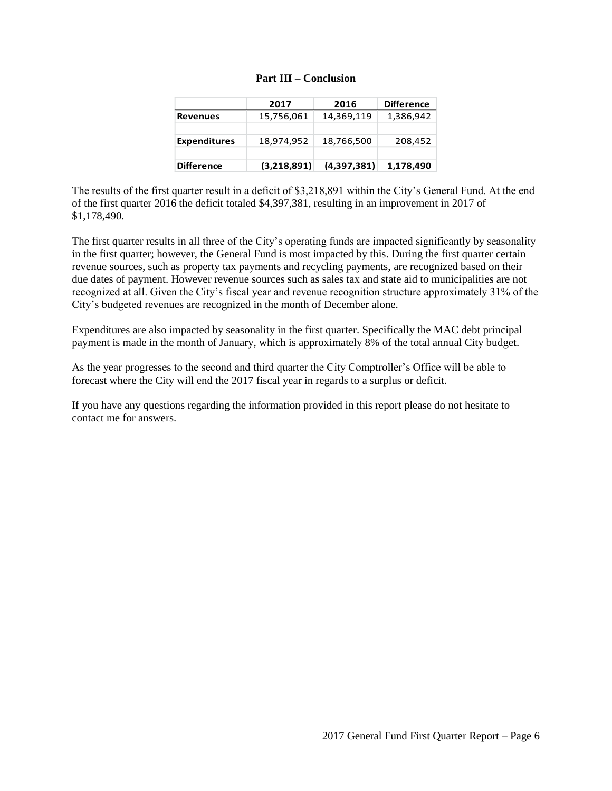|                     | 2017        | 2016        | <b>Difference</b> |  |
|---------------------|-------------|-------------|-------------------|--|
| <b>Revenues</b>     | 15,756,061  | 14,369,119  | 1,386,942         |  |
|                     |             |             |                   |  |
| <b>Expenditures</b> | 18,974,952  | 18,766,500  | 208,452           |  |
|                     |             |             |                   |  |
| <b>Difference</b>   | (3,218,891) | (4,397,381) | 1,178,490         |  |

|  | <b>Part III – Conclusion</b> |
|--|------------------------------|
|--|------------------------------|

The results of the first quarter result in a deficit of \$3,218,891 within the City's General Fund. At the end of the first quarter 2016 the deficit totaled \$4,397,381, resulting in an improvement in 2017 of \$1,178,490.

The first quarter results in all three of the City's operating funds are impacted significantly by seasonality in the first quarter; however, the General Fund is most impacted by this. During the first quarter certain revenue sources, such as property tax payments and recycling payments, are recognized based on their due dates of payment. However revenue sources such as sales tax and state aid to municipalities are not recognized at all. Given the City's fiscal year and revenue recognition structure approximately 31% of the City's budgeted revenues are recognized in the month of December alone.

Expenditures are also impacted by seasonality in the first quarter. Specifically the MAC debt principal payment is made in the month of January, which is approximately 8% of the total annual City budget.

As the year progresses to the second and third quarter the City Comptroller's Office will be able to forecast where the City will end the 2017 fiscal year in regards to a surplus or deficit.

If you have any questions regarding the information provided in this report please do not hesitate to contact me for answers.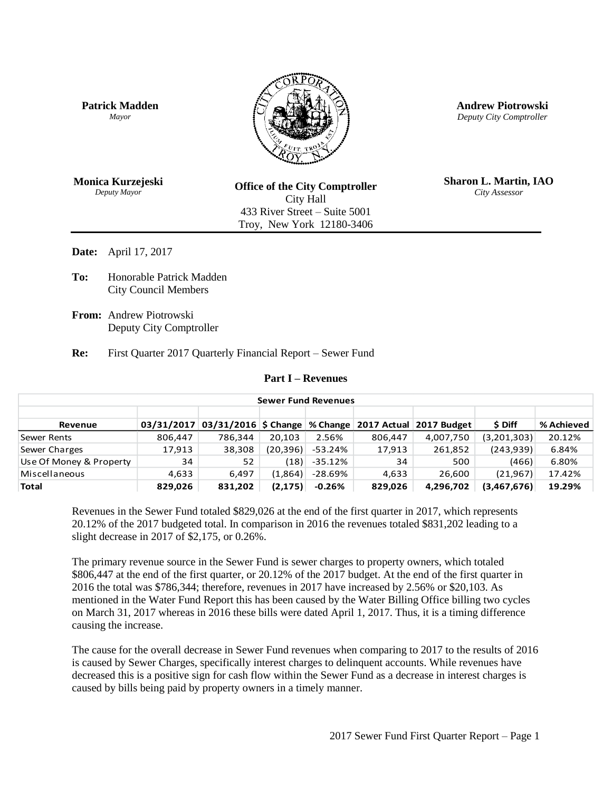

**Date:** April 17, 2017

**To:** Honorable Patrick Madden City Council Members

**From:** Andrew Piotrowski Deputy City Comptroller

**Re:** First Quarter 2017 Quarterly Financial Report – Sewer Fund

#### **Part I – Revenues**

| <b>Sewer Fund Revenues</b> |            |         |           |          |         |                                                               |             |            |  |
|----------------------------|------------|---------|-----------|----------|---------|---------------------------------------------------------------|-------------|------------|--|
|                            |            |         |           |          |         |                                                               |             |            |  |
| Revenue                    | 03/31/2017 |         |           |          |         | 03/31/2016   \$ Change   % Change   2017 Actual   2017 Budget | \$ Diff     | % Achieved |  |
| Sewer Rents                | 806,447    | 786.344 | 20.103    | 2.56%    | 806.447 | 4,007,750                                                     | (3,201,303) | 20.12%     |  |
| Sewer Charges              | 17,913     | 38,308  | (20, 396) | -53.24%  | 17,913  | 261,852                                                       | (243, 939)  | 6.84%      |  |
| Use Of Money & Property    | 34         | 52      | (18)      | -35.12%  | 34      | 500                                                           | (466)       | 6.80%      |  |
| Miscellaneous              | 4,633      | 6.497   | (1,864)   | -28.69%  | 4,633   | 26.600                                                        | (21, 967)   | 17.42%     |  |
| <b>Total</b>               | 829,026    | 831,202 | (2, 175)  | $-0.26%$ | 829,026 | 4.296.702                                                     | (3,467,676) | 19.29%     |  |

Revenues in the Sewer Fund totaled \$829,026 at the end of the first quarter in 2017, which represents 20.12% of the 2017 budgeted total. In comparison in 2016 the revenues totaled \$831,202 leading to a slight decrease in 2017 of \$2,175, or 0.26%.

The primary revenue source in the Sewer Fund is sewer charges to property owners, which totaled \$806,447 at the end of the first quarter, or 20.12% of the 2017 budget. At the end of the first quarter in 2016 the total was \$786,344; therefore, revenues in 2017 have increased by 2.56% or \$20,103. As mentioned in the Water Fund Report this has been caused by the Water Billing Office billing two cycles on March 31, 2017 whereas in 2016 these bills were dated April 1, 2017. Thus, it is a timing difference causing the increase.

The cause for the overall decrease in Sewer Fund revenues when comparing to 2017 to the results of 2016 is caused by Sewer Charges, specifically interest charges to delinquent accounts. While revenues have decreased this is a positive sign for cash flow within the Sewer Fund as a decrease in interest charges is caused by bills being paid by property owners in a timely manner.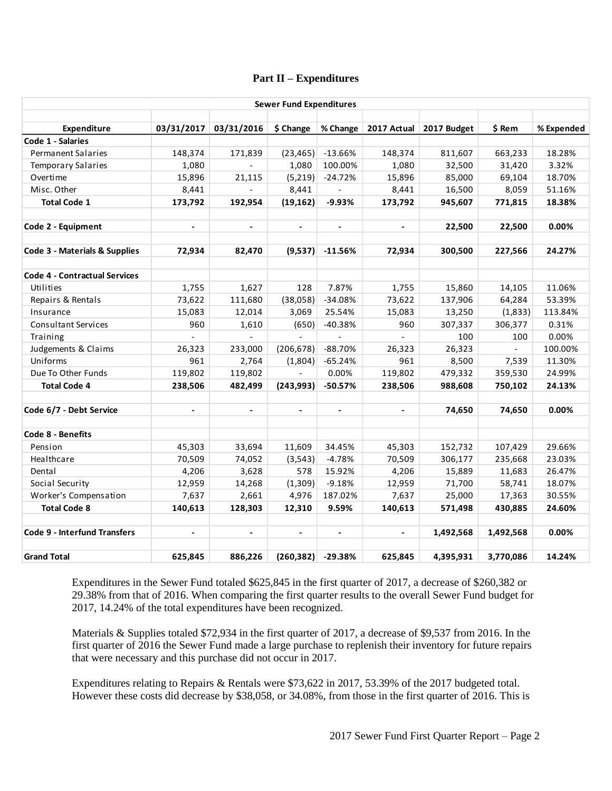# **Part II – Expenditures**

| <b>Sewer Fund Expenditures</b>       |                             |                          |                |                |                     |                         |           |            |
|--------------------------------------|-----------------------------|--------------------------|----------------|----------------|---------------------|-------------------------|-----------|------------|
| Expenditure                          |                             | 03/31/2017 03/31/2016    | \$ Change      | % Change       |                     | 2017 Actual 2017 Budget | \$ Rem    | % Expended |
| Code 1 - Salaries                    |                             |                          |                |                |                     |                         |           |            |
| Permanent Salaries                   | 148,374                     | 171,839                  | (23, 465)      | $-13.66%$      | 148,374             | 811,607                 | 663,233   | 18.28%     |
| <b>Temporary Salaries</b>            | 1,080                       |                          | 1,080          | 100.00%        | 1,080               | 32,500                  | 31,420    | 3.32%      |
| Overtime                             | 15,896                      | 21,115                   | (5,219)        | $-24.72%$      | 15,896              | 85,000                  | 69,104    | 18.70%     |
| Misc. Other                          | 8,441                       |                          | 8,441          | $\overline{a}$ | 8,441               | 16,500                  | 8,059     | 51.16%     |
| <b>Total Code 1</b>                  | 173,792                     | 192,954                  | (19, 162)      | $-9.93%$       | 173,792             | 945,607                 | 771,815   | 18.38%     |
| Code 2 - Equipment                   | $\blacksquare$              | $\blacksquare$           | $\blacksquare$ | $\blacksquare$ | $\blacksquare$      | 22,500                  | 22,500    | 0.00%      |
| Code 3 - Materials & Supplies        | 72,934                      | 82,470                   | (9,537)        | $-11.56%$      | 72,934              | 300,500                 | 227,566   | 24.27%     |
| <b>Code 4 - Contractual Services</b> |                             |                          |                |                |                     |                         |           |            |
| Utilities                            | 1,755                       | 1,627                    | 128            | 7.87%          | 1,755               | 15,860                  | 14,105    | 11.06%     |
| Repairs & Rentals                    | 73,622                      | 111,680                  | (38,058)       | $-34.08%$      | 73,622              | 137,906                 | 64,284    | 53.39%     |
| Insurance                            | 15,083                      | 12,014                   | 3,069          | 25.54%         | 15,083              | 13,250                  | (1,833)   | 113.84%    |
| <b>Consultant Services</b>           | 960                         | 1,610                    | (650)          | $-40.38%$      | 960                 | 307,337                 | 306,377   | 0.31%      |
| Training                             | $\mathcal{L}^{\mathcal{A}}$ | $\overline{\phantom{a}}$ | $\sim$         | $\mathbf{r}$   | $\mathcal{L}^{\pm}$ | 100                     | 100       | 0.00%      |
| Judgements & Claims                  | 26,323                      | 233,000                  | (206, 678)     | $-88.70%$      | 26,323              | 26,323                  | $\sim$    | 100.00%    |
| Uniforms                             | 961                         | 2,764                    | (1,804)        | $-65.24%$      | 961                 | 8,500                   | 7,539     | 11.30%     |
| Due To Other Funds                   | 119,802                     | 119,802                  | $\blacksquare$ | 0.00%          | 119,802             | 479,332                 | 359,530   | 24.99%     |
| <b>Total Code 4</b>                  | 238,506                     | 482,499                  | (243,993)      | $-50.57%$      | 238,506             | 988,608                 | 750,102   | 24.13%     |
| Code 6/7 - Debt Service              | $\blacksquare$              | $\blacksquare$           |                |                | $\blacksquare$      | 74,650                  | 74,650    | 0.00%      |
| Code 8 - Benefits                    |                             |                          |                |                |                     |                         |           |            |
| Pension                              | 45,303                      | 33,694                   | 11,609         | 34.45%         | 45,303              | 152,732                 | 107,429   | 29.66%     |
| Healthcare                           | 70,509                      | 74,052                   | (3, 543)       | $-4.78%$       | 70,509              | 306,177                 | 235,668   | 23.03%     |
| Dental                               | 4,206                       | 3,628                    | 578            | 15.92%         | 4,206               | 15,889                  | 11,683    | 26.47%     |
| Social Security                      | 12,959                      | 14,268                   | (1,309)        | $-9.18%$       | 12,959              | 71,700                  | 58,741    | 18.07%     |
| Worker's Compensation                | 7,637                       | 2,661                    | 4,976          | 187.02%        | 7,637               | 25,000                  | 17,363    | 30.55%     |
| <b>Total Code 8</b>                  | 140,613                     | 128,303                  | 12,310         | 9.59%          | 140,613             | 571,498                 | 430,885   | 24.60%     |
| <b>Code 9 - Interfund Transfers</b>  | $\overline{\phantom{a}}$    | $\frac{1}{2}$            |                |                | $\blacksquare$      | 1,492,568               | 1,492,568 | 0.00%      |
| <b>Grand Total</b>                   | 625,845                     | 886,226                  | (260, 382)     | $-29.38%$      | 625,845             | 4,395,931               | 3,770,086 | 14.24%     |

Expenditures in the Sewer Fund totaled \$625,845 in the first quarter of 2017, a decrease of \$260,382 or 29.38% from that of 2016. When comparing the first quarter results to the overall Sewer Fund budget for 2017, 14.24% of the total expenditures have been recognized.

Materials & Supplies totaled \$72,934 in the first quarter of 2017, a decrease of \$9,537 from 2016. In the first quarter of 2016 the Sewer Fund made a large purchase to replenish their inventory for future repairs that were necessary and this purchase did not occur in 2017.

Expenditures relating to Repairs & Rentals were \$73,622 in 2017, 53.39% of the 2017 budgeted total. However these costs did decrease by \$38,058, or 34.08%, from those in the first quarter of 2016. This is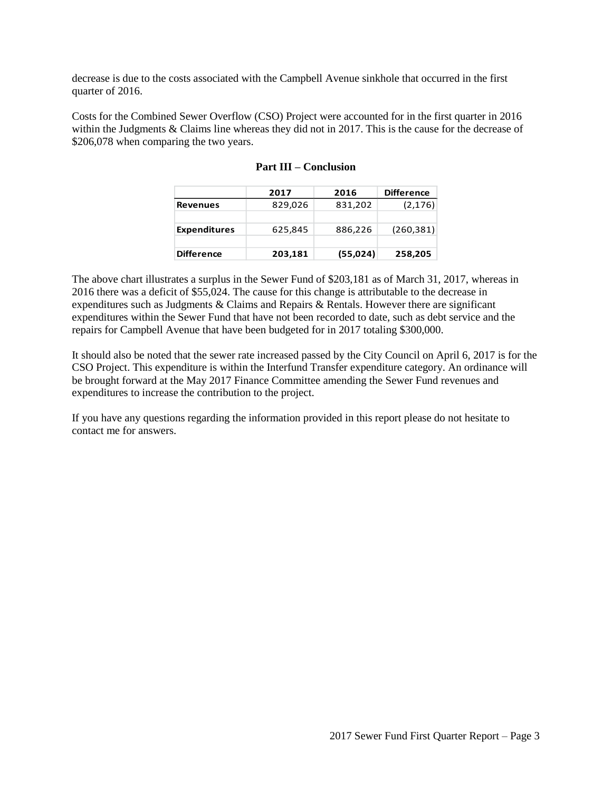decrease is due to the costs associated with the Campbell Avenue sinkhole that occurred in the first quarter of 2016.

Costs for the Combined Sewer Overflow (CSO) Project were accounted for in the first quarter in 2016 within the Judgments & Claims line whereas they did not in 2017. This is the cause for the decrease of \$206,078 when comparing the two years.

|                     | 2017    | 2016     | <b>Difference</b> |
|---------------------|---------|----------|-------------------|
| <b>Revenues</b>     | 829,026 | 831,202  | (2, 176)          |
|                     |         |          |                   |
| <b>Expenditures</b> | 625,845 | 886,226  | (260, 381)        |
|                     |         |          |                   |
| <b>Difference</b>   | 203,181 | (55,024) | 258,205           |

|  |  | <b>Part III – Conclusion</b> |
|--|--|------------------------------|
|--|--|------------------------------|

The above chart illustrates a surplus in the Sewer Fund of \$203,181 as of March 31, 2017, whereas in 2016 there was a deficit of \$55,024. The cause for this change is attributable to the decrease in expenditures such as Judgments & Claims and Repairs & Rentals. However there are significant expenditures within the Sewer Fund that have not been recorded to date, such as debt service and the repairs for Campbell Avenue that have been budgeted for in 2017 totaling \$300,000.

It should also be noted that the sewer rate increased passed by the City Council on April 6, 2017 is for the CSO Project. This expenditure is within the Interfund Transfer expenditure category. An ordinance will be brought forward at the May 2017 Finance Committee amending the Sewer Fund revenues and expenditures to increase the contribution to the project.

If you have any questions regarding the information provided in this report please do not hesitate to contact me for answers.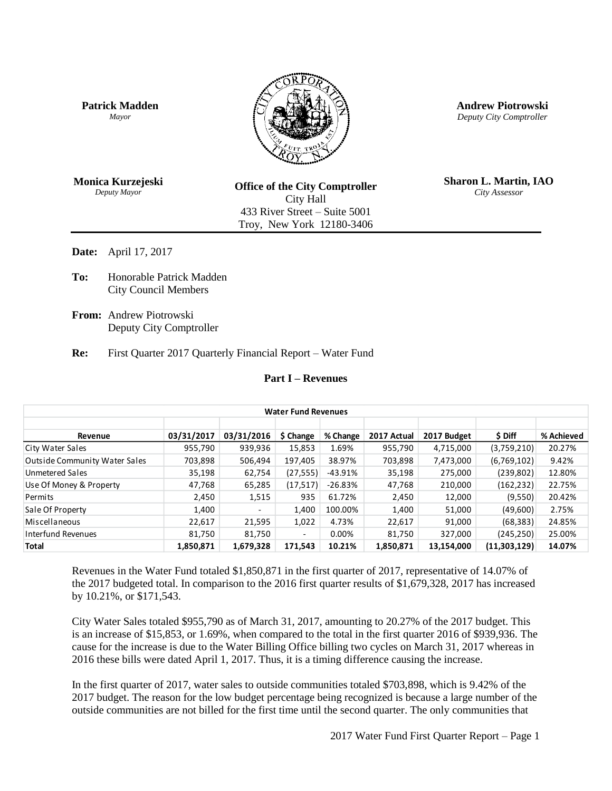



**Andrew Piotrowski** *Deputy City Comptroller*

**Monica Kurzejeski** *Deputy Mayor*

**Office of the City Comptroller** City Hall 433 River Street – Suite 5001 Troy, New York 12180-3406

**Sharon L. Martin, IAO** *City Assessor*

**Date:** April 17, 2017

- **To:** Honorable Patrick Madden City Council Members
- **From:** Andrew Piotrowski Deputy City Comptroller

**Re:** First Quarter 2017 Quarterly Financial Report – Water Fund

# **Part I – Revenues**

| <b>Water Fund Revenues</b>           |            |            |                          |           |             |             |              |            |
|--------------------------------------|------------|------------|--------------------------|-----------|-------------|-------------|--------------|------------|
|                                      |            |            |                          |           |             |             |              |            |
| Revenue                              | 03/31/2017 | 03/31/2016 | \$ Change                | % Change  | 2017 Actual | 2017 Budget | \$ Diff      | % Achieved |
| City Water Sales                     | 955,790    | 939,936    | 15,853                   | 1.69%     | 955,790     | 4,715,000   | (3,759,210)  | 20.27%     |
| <b>Outside Community Water Sales</b> | 703,898    | 506,494    | 197.405                  | 38.97%    | 703,898     | 7,473,000   | (6,769,102)  | 9.42%      |
| Unmetered Sales                      | 35,198     | 62,754     | (27, 555)                | -43.91%   | 35,198      | 275,000     | (239, 802)   | 12.80%     |
| Use Of Money & Property              | 47,768     | 65,285     | (17,517)                 | $-26.83%$ | 47,768      | 210,000     | (162, 232)   | 22.75%     |
| Permits                              | 2,450      | 1,515      | 935                      | 61.72%    | 2,450       | 12,000      | (9,550)      | 20.42%     |
| Sale Of Property                     | 1,400      | -          | 1,400                    | 100.00%   | 1,400       | 51,000      | (49,600)     | 2.75%      |
| Miscellaneous                        | 22,617     | 21,595     | 1,022                    | 4.73%     | 22,617      | 91,000      | (68, 383)    | 24.85%     |
| Interfund Revenues                   | 81,750     | 81,750     | $\overline{\phantom{0}}$ | 0.00%     | 81,750      | 327,000     | (245, 250)   | 25.00%     |
| <b>Total</b>                         | 1,850,871  | 1,679,328  | 171,543                  | 10.21%    | 1,850,871   | 13,154,000  | (11,303,129) | 14.07%     |

Revenues in the Water Fund totaled \$1,850,871 in the first quarter of 2017, representative of 14.07% of the 2017 budgeted total. In comparison to the 2016 first quarter results of \$1,679,328, 2017 has increased by 10.21%, or \$171,543.

City Water Sales totaled \$955,790 as of March 31, 2017, amounting to 20.27% of the 2017 budget. This is an increase of \$15,853, or 1.69%, when compared to the total in the first quarter 2016 of \$939,936. The cause for the increase is due to the Water Billing Office billing two cycles on March 31, 2017 whereas in 2016 these bills were dated April 1, 2017. Thus, it is a timing difference causing the increase.

In the first quarter of 2017, water sales to outside communities totaled \$703,898, which is 9.42% of the 2017 budget. The reason for the low budget percentage being recognized is because a large number of the outside communities are not billed for the first time until the second quarter. The only communities that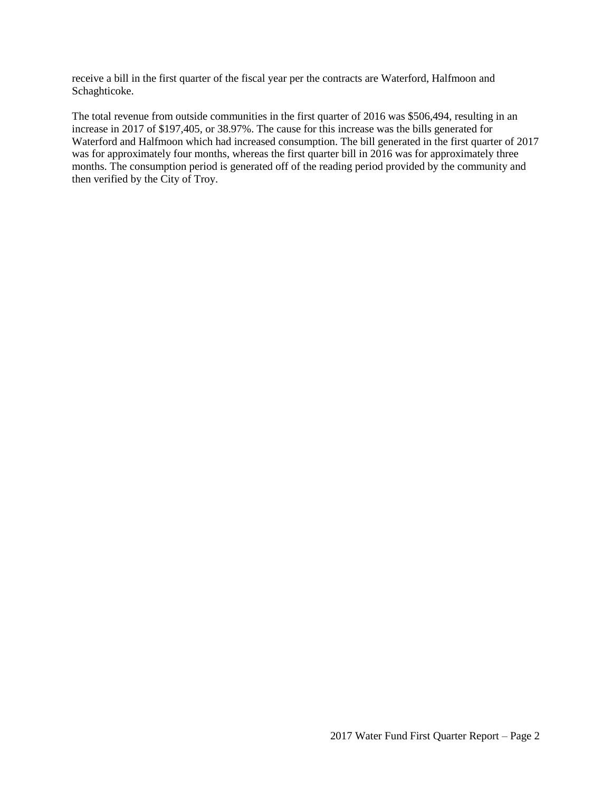receive a bill in the first quarter of the fiscal year per the contracts are Waterford, Halfmoon and Schaghticoke.

The total revenue from outside communities in the first quarter of 2016 was \$506,494, resulting in an increase in 2017 of \$197,405, or 38.97%. The cause for this increase was the bills generated for Waterford and Halfmoon which had increased consumption. The bill generated in the first quarter of 2017 was for approximately four months, whereas the first quarter bill in 2016 was for approximately three months. The consumption period is generated off of the reading period provided by the community and then verified by the City of Troy.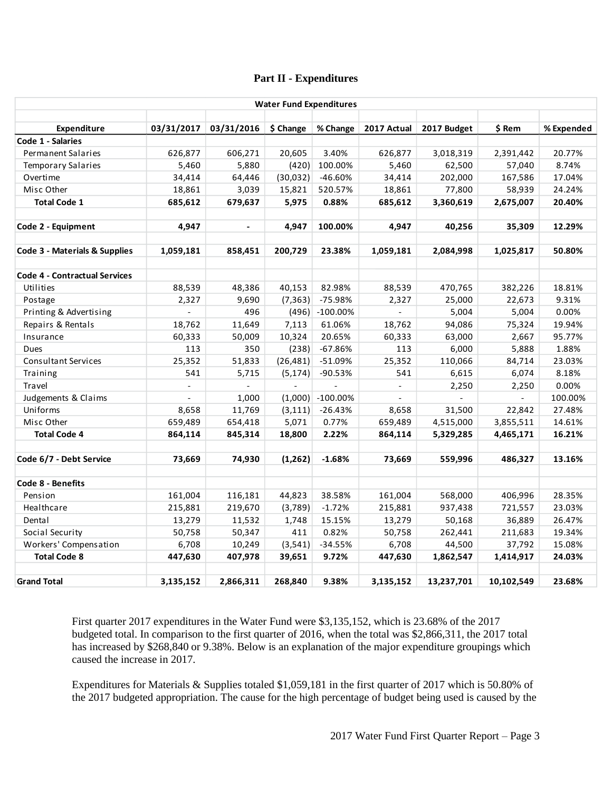## **Part II - Expenditures**

| <b>Water Fund Expenditures</b>       |                          |                |           |                |                          |             |                             |            |
|--------------------------------------|--------------------------|----------------|-----------|----------------|--------------------------|-------------|-----------------------------|------------|
| Expenditure                          | 03/31/2017               | 03/31/2016     |           | % Change       | 2017 Actual              |             | \$ Rem                      |            |
| Code 1 - Salaries                    |                          |                | \$ Change |                |                          | 2017 Budget |                             | % Expended |
| <b>Permanent Salaries</b>            | 626,877                  | 606,271        | 20,605    | 3.40%          | 626,877                  | 3,018,319   | 2,391,442                   | 20.77%     |
| Temporary Salaries                   | 5,460                    | 5,880          | (420)     | 100.00%        | 5,460                    | 62,500      | 57,040                      | 8.74%      |
| Overtime                             | 34,414                   | 64,446         | (30,032)  | -46.60%        | 34,414                   | 202,000     | 167,586                     | 17.04%     |
| Misc Other                           | 18,861                   | 3,039          | 15,821    | 520.57%        | 18,861                   | 77,800      | 58,939                      | 24.24%     |
| <b>Total Code 1</b>                  | 685,612                  | 679,637        | 5,975     | 0.88%          | 685,612                  | 3,360,619   | 2,675,007                   | 20.40%     |
|                                      |                          |                |           |                |                          |             |                             |            |
| Code 2 - Equipment                   | 4,947                    | $\blacksquare$ | 4,947     | 100.00%        | 4,947                    | 40,256      | 35,309                      | 12.29%     |
| Code 3 - Materials & Supplies        | 1,059,181                | 858,451        | 200,729   | 23.38%         | 1,059,181                | 2,084,998   | 1,025,817                   | 50.80%     |
| <b>Code 4 - Contractual Services</b> |                          |                |           |                |                          |             |                             |            |
| Utilities                            | 88,539                   | 48,386         | 40,153    | 82.98%         | 88,539                   | 470,765     | 382,226                     | 18.81%     |
| Postage                              | 2,327                    | 9,690          | (7, 363)  | $-75.98%$      | 2,327                    | 25,000      | 22,673                      | 9.31%      |
| Printing & Advertising               | $\overline{\phantom{a}}$ | 496            | (496)     | $-100.00%$     | $\omega$                 | 5,004       | 5,004                       | 0.00%      |
| Repairs & Rentals                    | 18,762                   | 11,649         | 7,113     | 61.06%         | 18,762                   | 94,086      | 75,324                      | 19.94%     |
| Insurance                            | 60,333                   | 50,009         | 10,324    | 20.65%         | 60,333                   | 63,000      | 2,667                       | 95.77%     |
| <b>Dues</b>                          | 113                      | 350            | (238)     | $-67.86%$      | 113                      | 6,000       | 5,888                       | 1.88%      |
| <b>Consultant Services</b>           | 25,352                   | 51,833         | (26, 481) | $-51.09%$      | 25,352                   | 110,066     | 84,714                      | 23.03%     |
| Training                             | 541                      | 5,715          | (5, 174)  | $-90.53%$      | 541                      | 6,615       | 6,074                       | 8.18%      |
| Travel                               | $\blacksquare$           | ÷.             | $\sim$    | $\overline{a}$ | $\overline{\phantom{a}}$ | 2,250       | 2,250                       | 0.00%      |
| Judgements & Claims                  |                          | 1,000          | (1,000)   | $-100.00\%$    |                          |             | $\mathcal{L}^{\mathcal{A}}$ | 100.00%    |
| Uniforms                             | 8,658                    | 11,769         | (3, 111)  | $-26.43%$      | 8,658                    | 31,500      | 22,842                      | 27.48%     |
| Misc Other                           | 659,489                  | 654,418        | 5,071     | 0.77%          | 659,489                  | 4,515,000   | 3,855,511                   | 14.61%     |
| <b>Total Code 4</b>                  | 864,114                  | 845,314        | 18,800    | 2.22%          | 864,114                  | 5,329,285   | 4,465,171                   | 16.21%     |
| Code 6/7 - Debt Service              | 73,669                   | 74,930         | (1, 262)  | $-1.68%$       | 73,669                   | 559,996     | 486,327                     | 13.16%     |
| Code 8 - Benefits                    |                          |                |           |                |                          |             |                             |            |
| Pension                              | 161,004                  | 116,181        | 44,823    | 38.58%         | 161,004                  | 568,000     | 406,996                     | 28.35%     |
| Healthcare                           | 215,881                  | 219,670        | (3,789)   | $-1.72%$       | 215,881                  | 937,438     | 721,557                     | 23.03%     |
| Dental                               | 13,279                   | 11,532         | 1,748     | 15.15%         | 13,279                   | 50,168      | 36,889                      | 26.47%     |
| Social Security                      | 50,758                   | 50,347         | 411       | 0.82%          | 50,758                   | 262,441     | 211,683                     | 19.34%     |
| Workers' Compensation                | 6,708                    | 10,249         | (3, 541)  | $-34.55%$      | 6,708                    | 44,500      | 37,792                      | 15.08%     |
| <b>Total Code 8</b>                  | 447,630                  | 407,978        | 39,651    | 9.72%          | 447,630                  | 1,862,547   | 1,414,917                   | 24.03%     |
| <b>Grand Total</b>                   | 3,135,152                | 2,866,311      | 268,840   | 9.38%          | 3,135,152                | 13,237,701  | 10,102,549                  | 23.68%     |
|                                      |                          |                |           |                |                          |             |                             |            |

First quarter 2017 expenditures in the Water Fund were \$3,135,152, which is 23.68% of the 2017 budgeted total. In comparison to the first quarter of 2016, when the total was \$2,866,311, the 2017 total has increased by \$268,840 or 9.38%. Below is an explanation of the major expenditure groupings which caused the increase in 2017.

Expenditures for Materials & Supplies totaled \$1,059,181 in the first quarter of 2017 which is 50.80% of the 2017 budgeted appropriation. The cause for the high percentage of budget being used is caused by the